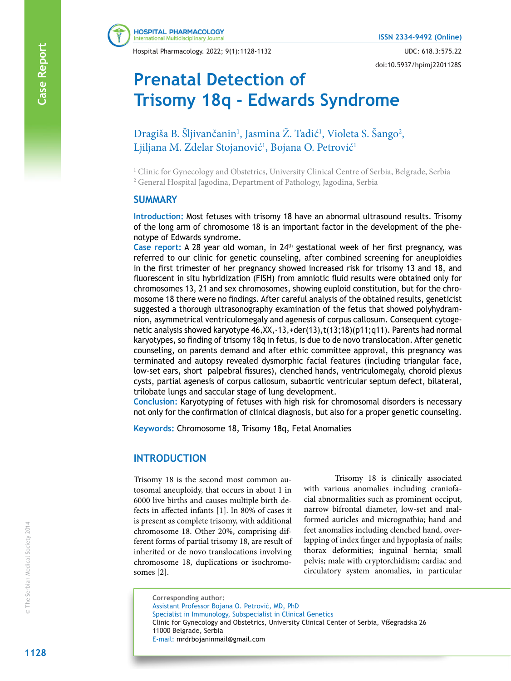Hospital Pharmacology. 2022; 9(1):1128-1132 UDC: 618.3:575.22

doi:10.5937/hpimj2201128S

# **Prenatal Detection of Trisomy 18q - Edwards Syndrome**

**A** Dragiša B. Šljivančanin<sup>1</sup>, Jasmina Ž. Tadić<sup>1</sup>, Violeta S. Šango<sup>2</sup>, Ljiljana M. Zdelar Stojanović<sup>1</sup>, Bojana O. Petrović<sup>1</sup>

<sup>1</sup> Clinic for Gynecology and Obstetrics, University Clinical Centre of Serbia, Belgrade, Serbia 2 General Hospital Jagodina, Department of Pathology, Jagodina, Serbia

#### **SUMMARY**

**Introduction:** Most fetuses with trisomy 18 have an abnormal ultrasound results. Trisomy of the long arm of chromosome 18 is an important factor in the development of the phenotype of Edwards syndrome.

**Case report:** A 28 year old woman, in 24th gestational week of her first pregnancy, was referred to our clinic for genetic counseling, after combined screening for aneuploidies in the first trimester of her pregnancy showed increased risk for trisomy 13 and 18, and fluorescent in situ hybridization (FISH) from amniotic fluid results were obtained only for chromosomes 13, 21 and sex chromosomes, showing euploid constitution, but for the chromosome 18 there were no findings. After careful analysis of the obtained results, geneticist suggested a thorough ultrasonography examination of the fetus that showed polyhydramnion, asymmetrical ventriculomegaly and agenesis of corpus callosum. Consequent cytogenetic analysis showed karyotype 46,XX,-13,+der(13),t(13;18)(p11;q11). Parents had normal karyotypes, so finding of trisomy 18q in fetus, is due to de novo translocation. After genetic counseling, on parents demand and after ethic committee approval, this pregnancy was terminated and autopsy revealed dysmorphic facial features (including triangular face, low-set ears, short palpebral fissures), clenched hands, ventriculomegaly, choroid plexus cysts, partial agenesis of corpus callosum, subaortic ventricular septum defect, bilateral, trilobate lungs and saccular stage of lung development.

**Conclusion:** Karyotyping of fetuses with high risk for chromosomal disorders is necessary not only for the confirmation of clinical diagnosis, but also for a proper genetic counseling.

**Keywords:** Chromosome 18, Trisomy 18q, Fetal Anomalies

#### **INTRODUCTION**

Trisomy 18 is the second most common autosomal aneuploidy, that occurs in about 1 in 6000 live births and causes multiple birth defects in affected infants [1]. In 80% of cases it is present as complete trisomy, with additional chromosome 18. Other 20%, comprising different forms of partial trisomy 18, are result of inherited or de novo translocations involving chromosome 18, duplications or isochromosomes [2].

Trisomy 18 is clinically associated with various anomalies including craniofacial abnormalities such as prominent occiput, narrow bifrontal diameter, low-set and malformed auricles and micrognathia; hand and feet anomalies including clenched hand, overlapping of index finger and hypoplasia of nails; thorax deformities; inguinal hernia; small pelvis; male with cryptorchidism; cardiac and circulatory system anomalies, in particular

**Corresponding author:** Assistant Professor Bojana O. Petrović, MD, PhD Specialist in Immunology, Subspecialist in Clinical Genetics Clinic for Gynecology and Obstetrics, University Clinical Center of Serbia, Višegradska 26 11000 Belgrade, Serbia E-mail: mrdrbojaninmail@gmail.com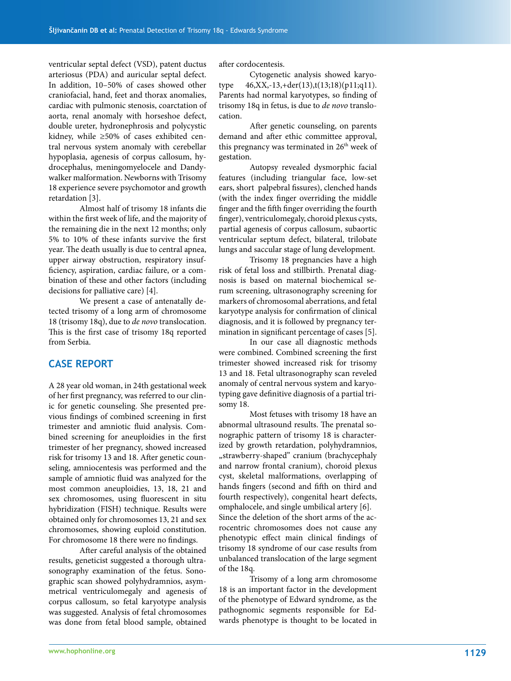ventricular septal defect (VSD), patent ductus arteriosus (PDA) and auricular septal defect. In addition, 10–50% of cases showed other craniofacial, hand, feet and thorax anomalies, cardiac with pulmonic stenosis, coarctation of aorta, renal anomaly with horseshoe defect, double ureter, hydronephrosis and polycystic kidney, while ≥50% of cases exhibited central nervous system anomaly with cerebellar hypoplasia, agenesis of corpus callosum, hydrocephalus, meningomyelocele and Dandywalker malformation. Newborns with Trisomy 18 experience severe psychomotor and growth retardation [3].

Almost half of trisomy 18 infants die within the first week of life, and the majority of the remaining die in the next 12 months; only 5% to 10% of these infants survive the first year. The death usually is due to central apnea, upper airway obstruction, respiratory insufficiency, aspiration, cardiac failure, or a combination of these and other factors (including decisions for palliative care) [4].

We present a case of antenatally detected trisomy of a long arm of chromosome 18 (trisomy 18q), due to *de novo* translocation. This is the first case of trisomy 18q reported from Serbia.

#### **CASE REPORT**

A 28 year old woman, in 24th gestational week of her first pregnancy, was referred to our clinic for genetic counseling. She presented previous findings of combined screening in first trimester and amniotic fluid analysis. Combined screening for aneuploidies in the first trimester of her pregnancy, showed increased risk for trisomy 13 and 18. After genetic counseling, amniocentesis was performed and the sample of amniotic fluid was analyzed for the most common aneuploidies, 13, 18, 21 and sex chromosomes, using fluorescent in situ hybridization (FISH) technique. Results were obtained only for chromosomes 13, 21 and sex chromosomes, showing euploid constitution. For chromosome 18 there were no findings.

After careful analysis of the obtained results, geneticist suggested a thorough ultrasonography examination of the fetus. Sonographic scan showed polyhydramnios, asymmetrical ventriculomegaly and agenesis of corpus callosum, so fetal karyotype analysis was suggested. Analysis of fetal chromosomes was done from fetal blood sample, obtained

after cordocentesis.

Cytogenetic analysis showed karyotype 46,XX,-13,+der(13),t(13;18)(p11;q11). Parents had normal karyotypes, so finding of trisomy 18q in fetus, is due to *de novo* translocation.

After genetic counseling, on parents demand and after ethic committee approval, this pregnancy was terminated in 26<sup>th</sup> week of gestation.

Autopsy revealed dysmorphic facial features (including triangular face, low-set ears, short palpebral fissures), clenched hands (with the index finger overriding the middle finger and the fifth finger overriding the fourth finger), ventriculomegaly, choroid plexus cysts, partial agenesis of corpus callosum, subaortic ventricular septum defect, bilateral, trilobate lungs and saccular stage of lung development.

Trisomy 18 pregnancies have a high risk of fetal loss and stillbirth. Prenatal diagnosis is based on maternal biochemical serum screening, ultrasonography screening for markers of chromosomal aberrations, and fetal karyotype analysis for confirmation of clinical diagnosis, and it is followed by pregnancy termination in significant percentage of cases [5].

In our case all diagnostic methods were combined. Combined screening the first trimester showed increased risk for trisomy 13 and 18. Fetal ultrasonography scan reveled anomaly of central nervous system and karyotyping gave definitive diagnosis of a partial trisomy 18.

Most fetuses with trisomy 18 have an abnormal ultrasound results. The prenatal sonographic pattern of trisomy 18 is characterized by growth retardation, polyhydramnios, "strawberry-shaped" cranium (brachycephaly and narrow frontal cranium), choroid plexus cyst, skeletal malformations, overlapping of hands fingers (second and fifth on third and fourth respectively), congenital heart defects, omphalocele, and single umbilical artery [6]. Since the deletion of the short arms of the acrocentric chromosomes does not cause any phenotypic effect main clinical findings of trisomy 18 syndrome of our case results from unbalanced translocation of the large segment of the 18q.

Trisomy of a long arm chromosome 18 is an important factor in the development of the phenotype of Edward syndrome, as the pathognomic segments responsible for Edwards phenotype is thought to be located in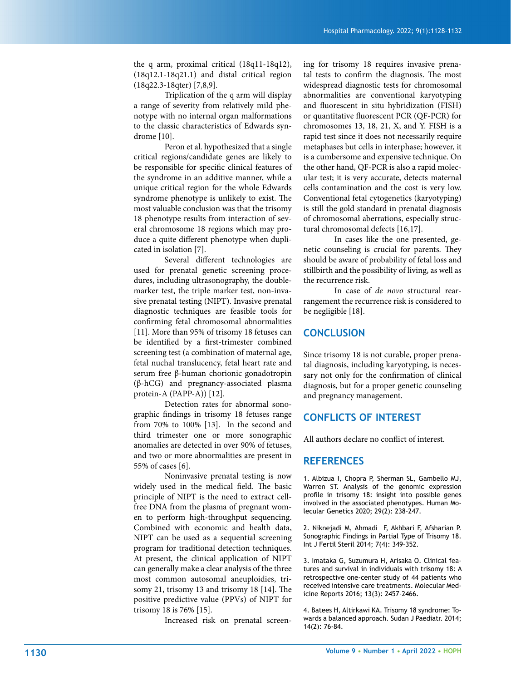the q arm, proximal critical (18q11-18q12), (18q12.1-18q21.1) and distal critical region (18q22.3-18qter) [7,8,9].

Triplication of the q arm will display a range of severity from relatively mild phenotype with no internal organ malformations to the classic characteristics of Edwards syndrome [10].

Peron et al. hypothesized that a single critical regions/candidate genes are likely to be responsible for specific clinical features of the syndrome in an additive manner, while a unique critical region for the whole Edwards syndrome phenotype is unlikely to exist. The most valuable conclusion was that the trisomy 18 phenotype results from interaction of several chromosome 18 regions which may produce a quite different phenotype when duplicated in isolation [7].

Several different technologies are used for prenatal genetic screening procedures, including ultrasonography, the doublemarker test, the triple marker test, non-invasive prenatal testing (NIPT). Invasive prenatal diagnostic techniques are feasible tools for confirming fetal chromosomal abnormalities [11]. More than 95% of trisomy 18 fetuses can be identified by a first-trimester combined screening test (a combination of maternal age, fetal nuchal translucency, fetal heart rate and serum free β-human chorionic gonadotropin (β-hCG) and pregnancy-associated plasma protein-A (PAPP-A)) [12].

Detection rates for abnormal sonographic findings in trisomy 18 fetuses range from 70% to 100% [13]. In the second and third trimester one or more sonographic anomalies are detected in over 90% of fetuses, and two or more abnormalities are present in 55% of cases [6].

Noninvasive prenatal testing is now widely used in the medical field. The basic principle of NIPT is the need to extract cellfree DNA from the plasma of pregnant women to perform high-throughput sequencing. Combined with economic and health data, NIPT can be used as a sequential screening program for traditional detection techniques. At present, the clinical application of NIPT can generally make a clear analysis of the three most common autosomal aneuploidies, trisomy 21, trisomy 13 and trisomy 18 [14]. The positive predictive value (PPVs) of NIPT for trisomy 18 is 76% [15].

Increased risk on prenatal screen-

ing for trisomy 18 requires invasive prenatal tests to confirm the diagnosis. The most widespread diagnostic tests for chromosomal abnormalities are conventional karyotyping and fluorescent in situ hybridization (FISH) or quantitative fluorescent PCR (QF-PCR) for chromosomes 13, 18, 21, X, and Y. FISH is a rapid test since it does not necessarily require metaphases but cells in interphase; however, it is a cumbersome and expensive technique. On the other hand, QF-PCR is also a rapid molecular test; it is very accurate, detects maternal cells contamination and the cost is very low. Conventional fetal cytogenetics (karyotyping) is still the gold standard in prenatal diagnosis of chromosomal aberrations, especially structural chromosomal defects [16,17].

In cases like the one presented, genetic counseling is crucial for parents. They should be aware of probability of fetal loss and stillbirth and the possibility of living, as well as the recurrence risk.

In case of *de novo* structural rearrangement the recurrence risk is considered to be negligible [18].

#### **CONCLUSION**

Since trisomy 18 is not curable, proper prenatal diagnosis, including karyotyping, is necessary not only for the confirmation of clinical diagnosis, but for a proper genetic counseling and pregnancy management.

#### **CONFLICTS OF INTEREST**

All authors declare no conflict of interest.

#### **REFERENCES**

1. Albizua I, Chopra P, Sherman SL, Gambello MJ, Warren ST. Analysis of the genomic expression profile in trisomy 18: insight into possible genes involved in the associated phenotypes. Human Molecular Genetics 2020; 29(2): 238–247.

2. Niknejadi M, Ahmadi F, Akhbari F, Afsharian P. Sonographic Findings in Partial Type of Trisomy 18. Int J Fertil Steril 2014; 7(4): 349–352.

3. Imataka G, Suzumura H, Arisaka O. Clinical features and survival in individuals with trisomy 18: A retrospective one-center study of 44 patients who received intensive care treatments. Molecular Medicine Reports 2016; 13(3): 2457-2466.

4. Batees H, Altirkawi KA. Trisomy 18 syndrome: Towards a balanced approach. Sudan J Paediatr. 2014; 14(2): 76-84.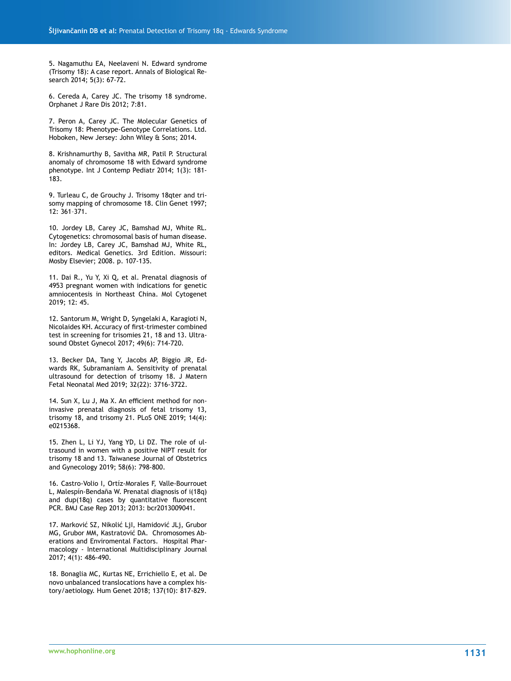5. Nagamuthu EA, Neelaveni N. Edward syndrome (Trisomy 18): A case report. Annals of Biological Research 2014; 5(3): 67-72.

6. Cereda A, Carey JC. The trisomy 18 syndrome. Orphanet J Rare Dis 2012; 7:81.

7. Peron A, Carey JC. The Molecular Genetics of Trisomy 18: Phenotype-Genotype Correlations. Ltd. Hoboken, New Jersey: John Wiley & Sons; 2014.

8. Krishnamurthy B, Savitha MR, Patil P. Structural anomaly of chromosome 18 with Edward syndrome phenotype. Int J Contemp Pediatr 2014; 1(3): 181- 183.

9. Turleau C, de Grouchy J. Trisomy 18qter and trisomy mapping of chromosome 18. Clin Genet 1997; 12: 361–371.

10. Jordey LB, Carey JC, Bamshad MJ, White RL. Cytogenetics: chromosomal basis of human disease. In: Jordey LB, Carey JC, Bamshad MJ, White RL, editors. Medical Genetics. 3rd Edition. Missouri: Mosby Elsevier; 2008. p. 107-135.

11. Dai R., Yu Y, Xi Q, et al. Prenatal diagnosis of 4953 pregnant women with indications for genetic amniocentesis in Northeast China. Mol Cytogenet 2019; 12: 45.

12. Santorum M, Wright D, Syngelaki A, Karagioti N, Nicolaides KH. Accuracy of first-trimester combined test in screening for trisomies 21, 18 and 13. Ultrasound Obstet Gynecol 2017; 49(6): 714-720.

13. Becker DA, Tang Y, Jacobs AP, Biggio JR, Edwards RK, Subramaniam A. Sensitivity of prenatal ultrasound for detection of trisomy 18. J Matern Fetal Neonatal Med 2019; 32(22): 3716-3722.

14. Sun X, Lu J, Ma X. An efficient method for noninvasive prenatal diagnosis of fetal trisomy 13, trisomy 18, and trisomy 21. PLoS ONE 2019; 14(4): e0215368.

15. Zhen L, Li YJ, Yang YD, Li DZ. The role of ultrasound in women with a positive NIPT result for trisomy 18 and 13. Taiwanese Journal of Obstetrics and Gynecology 2019; 58(6): 798-800.

16. Castro-Volio I, Ortíz-Morales F, Valle-Bourrouet L, Malespín-Bendaña W. Prenatal diagnosis of i(18q) and dup(18q) cases by quantitative fluorescent PCR. BMJ Case Rep 2013; 2013: bcr2013009041.

17. Marković SZ, Nikolić LjI, Hamidović JLj, Grubor MG, Grubor MM, Kastratović DA. Chromosomes Aberations and Enviromental Factors. Hospital Pharmacology - International Multidisciplinary Journal 2017; 4(1): 486-490.

18. Bonaglia MC, Kurtas NE, Errichiello E, et al. De novo unbalanced translocations have a complex history/aetiology. Hum Genet 2018; 137(10): 817-829.